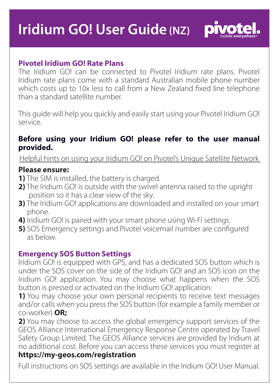# **Iridium GO! User Guide (NZ)**



# **Pivotel Iridium GO! Rate Plans**

The Iridium GO! can be connected to Pivotel Iridium rate plans. Pivotel Iridium rate plans come with a standard Australian mobile phone number which costs up to 10x less to call from a New Zealand fixed line telephone than a standard satellite number.

This guide will help you quickly and easily start using your Pivotel Iridium GO! service.

### **Before using your Iridium GO! please refer to the user manual provided.**

Helpful hints on using your Iridium GO! on Pivotel's Unique Satellite Network

## **Please ensure:**

- **1)** The SIM is installed, the battery is charged.
- **2)** The Iridium GO! is outside with the swivel antenna raised to the upright position so it has a clear view of the sky.
- **3)** The Iridium GO! applications are downloaded and installed on your smart phone.
- **4)** Iridium GO! is paired with your smart phone using Wi-Fi settings.
- **5)** SOS Emergency settings and Pivotel voicemail number are configured as below.

## **Emergency SOS Button Settings**

Iridium GO! is equipped with GPS, and has a dedicated SOS button which is under the SOS cover on the side of the Iridium GO! and an SOS icon on the Iridium GO! application. You may choose what happens when the SOS button is pressed or activated on the Iridium GO! application:

**1)** You may choose your own personal recipients to receive text messages and/or calls when you press the SOS button (for example a family member or co-worker) **OR;**

**2)** You may choose to access the global emergency support services of the GEOS Alliance International Emergency Response Centre operated by Travel Safety Group Limited. The GEOS Alliance services are provided by Iridium at no additional cost. Before you can access these services you must register at

# **https://my-geos.com/registration**

Full instructions on SOS settings are available in the Iridium GO! User Manual.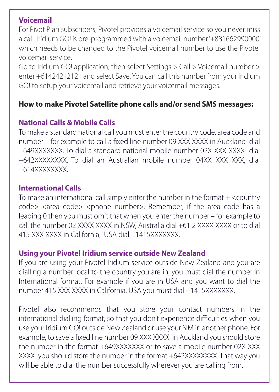## **Voicemail**

For Pivot Plan subscribers, Pivotel provides a voicemail service so you never miss a call. Iridium GO! is pre-programmed with a voicemail number '+881662990000' which needs to be changed to the Pivotel voicemail number to use the Pivotel voicemail service.

Go to Iridium GO! application, then select Settings > Call > Voicemail number > enter +61424212121 and select Save. You can call this number from your Iridium GO! to setup your voicemail and retrieve your voicemail messages.

## **How to make Pivotel Satellite phone calls and/or send SMS messages:**

# **National Calls & Mobile Calls**

To make a standard national call you must enter the country code, area code and number – for example to call a fixed line number 09 XXX XXXX in Auckland dial +649XXXXXXX. To dial a standard national mobile number 02X XXX XXXX dial +642XXXXXXXX. To dial an Australian mobile number 04XX XXX XXX, dial +614XXXXXXXX.

## **International Calls**

To make an international call simply enter the number in the format  $+$  <country code> <area code> <phone number>. Remember, if the area code has a leading 0 then you must omit that when you enter the number – for example to call the number 02 XXXX XXXX in NSW, Australia dial +61 2 XXXX XXXX or to dial 415 XXX XXXX in California, USA dial +1415XXXXXXX.

## **Using your Pivotel Iridium service outside New Zealand**

If you are using your Pivotel Iridium service outside New Zealand and you are dialling a number local to the country you are in, you must dial the number in International format. For example if you are in USA and you want to dial the number 415 XXX XXXX in California, USA you must dial +1415XXXXXXX.

Pivotel also recommends that you store your contact numbers in the international dialling format, so that you don't experience difficulties when you use your Iridium GO! outside New Zealand or use your SIM in another phone. For example, to save a fixed line number 09 XXX XXXX in Auckland you should store the number in the format +649XXXXXXX or to save a mobile number 02X XXX XXXX you should store the number in the format +642XXXXXXXX. That way you will be able to dial the number successfully wherever you are calling from.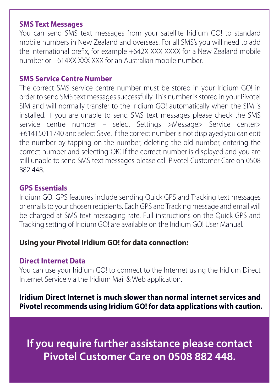## **SMS Text Messages**

You can send SMS text messages from your satellite Iridium GO! to standard mobile numbers in New Zealand and overseas. For all SMS's you will need to add the international prefix, for example  $+642X$  XXX XXXX for a New Zealand mobile number or +614XX XXX XXX for an Australian mobile number.

## **SMS Service Centre Number**

The correct SMS service centre number must be stored in your Iridium GO! in order to send SMS text messages successfully. This number is stored in your Pivotel SIM and will normally transfer to the Iridium GO! automatically when the SIM is installed. If you are unable to send SMS text messages please check the SMS service centre number – select Settings >Message> Service center> +61415011740 and select Save. If the correct number is not displayed you can edit the number by tapping on the number, deleting the old number, entering the correct number and selecting 'OK'. If the correct number is displayed and you are still unable to send SMS text messages please call Pivotel Customer Care on 0508 882 448.

#### **GPS Essentials**

Iridium GO! GPS features include sending Quick GPS and Tracking text messages or emails to your chosen recipients. Each GPS and Tracking message and email will be charged at SMS text messaging rate. Full instructions on the Quick GPS and Tracking setting of Iridium GO! are available on the Iridium GO! User Manual.

## **Using your Pivotel Iridium GO! for data connection:**

#### **Direct Internet Data**

You can use your Iridium GO! to connect to the Internet using the Iridium Direct Internet Service via the Iridium Mail & Web application.

**Iridium Direct Internet is much slower than normal internet services and Pivotel recommends using Iridium GO! for data applications with caution.** 

**If you require further assistance please contact Pivotel Customer Care on 0508 882 448.**